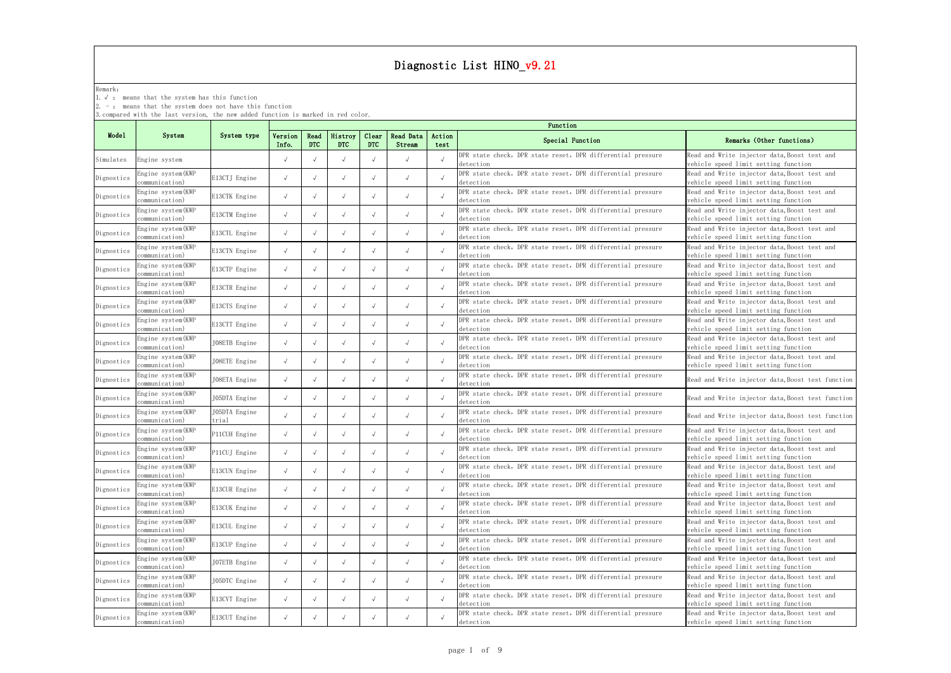|            | 3. compared with the last version, the new added function is marked in red color. |                        |                  |                    |                       |                     |                     |                |                                                                          |                                                                                      |
|------------|-----------------------------------------------------------------------------------|------------------------|------------------|--------------------|-----------------------|---------------------|---------------------|----------------|--------------------------------------------------------------------------|--------------------------------------------------------------------------------------|
|            |                                                                                   |                        |                  |                    |                       |                     |                     |                | Function                                                                 |                                                                                      |
| Mode1      | System                                                                            | System type            | Version<br>Info. | Read<br><b>DTC</b> | Histroy<br><b>DTC</b> | Clear<br><b>DTC</b> | Read Data<br>Stream | Action<br>test | Special Function                                                         | Remarks (Other functions)                                                            |
| Simulates  | Engine system                                                                     |                        |                  |                    | $\sqrt{ }$            |                     |                     | $\sqrt{ }$     | DPR state check, DPR state reset, DPR differential pressure<br>detection | Read and Write injector data, Boost test and<br>vehicle speed limit setting function |
| Dignostics | Engine system(KWP<br>communication)                                               | E13CTJ Engine          |                  |                    | $\sqrt{ }$            |                     | $\sqrt{ }$          | $\sqrt{ }$     | DPR state check, DPR state reset, DPR differential pressure<br>detection | Read and Write injector data, Boost test and<br>vehicle speed limit setting function |
| Dignostics | Engine system(KWP<br>communication)                                               | E13CTK Engine          |                  |                    | $\sqrt{ }$            |                     |                     | $\sqrt{ }$     | DPR state check, DPR state reset, DPR differential pressure<br>detection | Read and Write injector data, Boost test and<br>vehicle speed limit setting function |
| Dignostics | Engine system (KWP<br>communication)                                              | E13CTM Engine          |                  |                    | $\sqrt{ }$            |                     | $\sqrt{ }$          | $\sqrt{ }$     | DPR state check, DPR state reset, DPR differential pressure<br>detection | Read and Write injector data, Boost test and<br>vehicle speed limit setting function |
| Dignostics | Engine system (KWP<br>communication)                                              | E13CTL Engine          |                  |                    | $\sqrt{ }$            |                     | $\sqrt{ }$          | $\sqrt{ }$     | DPR state check, DPR state reset, DPR differential pressure<br>detection | Read and Write injector data, Boost test and<br>vehicle speed limit setting function |
| Dignostics | Engine system(KWP<br>communication)                                               | E13CTN Engine          |                  |                    | $\sqrt{ }$            |                     | $\sim$              | $\sqrt{ }$     | DPR state check, DPR state reset, DPR differential pressure<br>detection | Read and Write injector data, Boost test and<br>vehicle speed limit setting function |
| Dignostics | Engine system (KWP<br>communication)                                              | E13CTP Engine          |                  |                    | $\sqrt{ }$            |                     |                     | $\sqrt{ }$     | DPR state check, DPR state reset, DPR differential pressure<br>detection | Read and Write injector data, Boost test and<br>vehicle speed limit setting function |
| Dignostics | Engine system(KWP<br>communication)                                               | E13CTR Engine          |                  |                    | $\sqrt{ }$            |                     | $\sqrt{ }$          |                | DPR state check, DPR state reset, DPR differential pressure<br>detection | Read and Write injector data, Boost test and<br>vehicle speed limit setting function |
| Dignostics | Engine system (KWP<br>communication)                                              | E13CTS Engine          |                  |                    | $\sqrt{ }$            |                     | $\sqrt{ }$          | $\sqrt{ }$     | DPR state check, DPR state reset, DPR differential pressure<br>detection | Read and Write injector data, Boost test and<br>vehicle speed limit setting function |
| Dignostics | Engine system (KWP<br>communication)                                              | E13CTT Engine          |                  |                    | $\sqrt{ }$            |                     | $\sim$              | $\sqrt{ }$     | DPR state check, DPR state reset, DPR differential pressure<br>detection | Read and Write injector data, Boost test and<br>vehicle speed limit setting function |
| Dignostics | Engine system (KWP<br>communication)                                              | JO8ETB Engine          |                  |                    | $\sqrt{ }$            |                     | $\sqrt{ }$          | $\sqrt{ }$     | DPR state check, DPR state reset, DPR differential pressure<br>detection | Read and Write injector data, Boost test and<br>vehicle speed limit setting function |
| Dignostics | Engine system(KWP<br>communication)                                               | JO8ETE Engine          |                  |                    | $\sqrt{ }$            |                     | $\sqrt{ }$          | $\sqrt{ }$     | DPR state check, DPR state reset, DPR differential pressure<br>detection | Read and Write injector data, Boost test and<br>vehicle speed limit setting function |
| Dignostics | Engine system (KWP<br>communication)                                              | JO8ETA Engine          |                  |                    | $\sqrt{ }$            |                     | $\sqrt{ }$          | $\sqrt{ }$     | DPR state check, DPR state reset, DPR differential pressure<br>detection | Read and Write injector data, Boost test function                                    |
| Dignostics | Engine system(KWP<br>communication)                                               | J05DTA Engine          |                  |                    | $\sim$                |                     | $\sqrt{ }$          | $\sqrt{ }$     | DPR state check, DPR state reset, DPR differential pressure<br>detection | Read and Write injector data, Boost test function                                    |
| Dignostics | Engine system (KWP<br>communication)                                              | J05DTA Engine<br>trial |                  |                    |                       |                     |                     |                | DPR state check, DPR state reset, DPR differential pressure<br>detection | Read and Write injector data, Boost test function                                    |
| Dignostics | Engine system (KWP<br>communication)                                              | P11CUH Engine          |                  |                    | $\sqrt{ }$            |                     | $\sqrt{ }$          | $\sqrt{ }$     | DPR state check, DPR state reset, DPR differential pressure<br>detection | Read and Write injector data, Boost test and<br>vehicle speed limit setting function |
| Dignostics | Engine system (KWP<br>communication)                                              | P11CUJ Engine          |                  |                    | $\sqrt{ }$            |                     |                     | $\sqrt{ }$     | DPR state check, DPR state reset, DPR differential pressure<br>detection | Read and Write injector data, Boost test and<br>vehicle speed limit setting function |
| Dignostics | Engine system (KWP<br>communication)                                              | E13CUN Engine          |                  |                    | $\sqrt{ }$            |                     | $\sqrt{ }$          | $\sqrt{ }$     | DPR state check, DPR state reset, DPR differential pressure<br>detection | Read and Write injector data, Boost test and<br>vehicle speed limit setting function |
| Dignostics | Engine system (KWP<br>communication)                                              | E13CUR Engine          |                  |                    | $\sqrt{ }$            |                     | $\sqrt{ }$          | $\sqrt{ }$     | DPR state check, DPR state reset, DPR differential pressure<br>detection | Read and Write injector data, Boost test and<br>vehicle speed limit setting function |
| Dignostics | Engine system (KWP<br>communication)                                              | E13CUK Engine          |                  |                    | $\sqrt{ }$            |                     | $\sqrt{ }$          | $\sqrt{ }$     | DPR state check, DPR state reset, DPR differential pressure<br>detection | Read and Write injector data, Boost test and<br>vehicle speed limit setting function |
| Dignostics | Engine system (KWP<br>communication)                                              | E13CUL Engine          |                  |                    | $\sqrt{ }$            |                     |                     | $\sqrt{ }$     | DPR state check, DPR state reset, DPR differential pressure<br>detection | Read and Write injector data, Boost test and<br>vehicle speed limit setting function |
| Dignostics | Engine system (KWP<br>communication)                                              | E13CUP Engine          |                  |                    | $\sqrt{ }$            |                     | $\sqrt{ }$          | $\sqrt{ }$     | DPR state check, DPR state reset, DPR differential pressure<br>detection | Read and Write injector data, Boost test and<br>vehicle speed limit setting function |
| Dignostics | Engine system(KWP<br>communication)                                               | JO7ETB Engine          |                  |                    | $\sqrt{ }$            |                     | $\sqrt{ }$          | $\sqrt{ }$     | DPR state check, DPR state reset, DPR differential pressure<br>detection | Read and Write injector data, Boost test and<br>vehicle speed limit setting function |
| Dignostics | Engine system(KWP<br>communication)                                               | J05DTC Engine          |                  |                    | $\sqrt{ }$            | $\sim$              | $\sqrt{ }$          | $\sqrt{ }$     | DPR state check, DPR state reset, DPR differential pressure<br>detection | Read and Write injector data, Boost test and<br>vehicle speed limit setting function |
| Dignostics | Engine system (KWP<br>communication)                                              | E13CVT Engine          |                  |                    | $\sqrt{ }$            |                     |                     | $\sqrt{ }$     | DPR state check, DPR state reset, DPR differential pressure<br>detection | Read and Write injector data, Boost test and<br>vehicle speed limit setting function |
| Dignostics | Engine system(KWP<br>communication)                                               | E13CUT Engine          |                  |                    | $\sqrt{ }$            |                     |                     |                | DPR state check, DPR state reset, DPR differential pressure<br>detection | Read and Write injector data, Boost test and<br>vehicle speed limit setting function |

Remark:

1.√ : means that the system has this function

2. - : means that the system does not have this function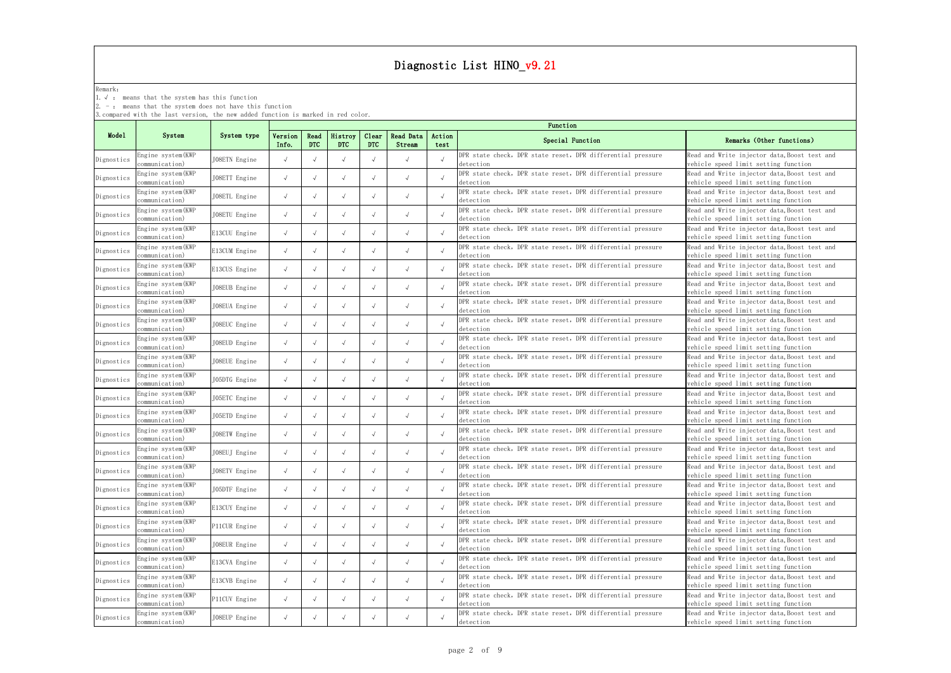Remark:

1.√ : means that the system has this function

2. - : means that the system does not have this function

a<br>The red color.<br>In the new added

|            | 3.compared with the last version, the new added function is marked in red color. |               |         |            |            |                |            |            | Function                                                                 |                                                                                      |
|------------|----------------------------------------------------------------------------------|---------------|---------|------------|------------|----------------|------------|------------|--------------------------------------------------------------------------|--------------------------------------------------------------------------------------|
| Mode1      | System                                                                           | System type   | Version | Read       | Histroy    | Clear          | Read Data  | Action     |                                                                          |                                                                                      |
|            |                                                                                  |               | Info.   | <b>DTC</b> | <b>DTC</b> | <b>DTC</b>     | Stream     | test       | Special Function                                                         | Remarks (Other functions)                                                            |
| Dignostics | Engine system(KWP<br>communication)                                              | JO8ETN Engine |         |            |            |                |            | $\sqrt{ }$ | DPR state check, DPR state reset, DPR differential pressure<br>detection | Read and Write injector data, Boost test and<br>vehicle speed limit setting function |
| Dignostics | Engine system(KWP<br>communication)                                              | JO8ETT Engine |         |            | $\sqrt{ }$ | $\sqrt{ }$     | $\sqrt{ }$ | $\sqrt{ }$ | DPR state check, DPR state reset, DPR differential pressure<br>detection | Read and Write injector data, Boost test and<br>vehicle speed limit setting function |
| Dignostics | Engine system (KWP<br>communication)                                             | J08ETL Engine |         |            | $\sqrt{ }$ |                |            | $\sqrt{ }$ | DPR state check, DPR state reset, DPR differential pressure<br>detection | Read and Write injector data, Boost test and<br>vehicle speed limit setting function |
| Dignostics | Engine system(KWP<br>communication)                                              | JO8ETU Engine |         |            | $\sqrt{ }$ |                |            | $\sqrt{ }$ | DPR state check, DPR state reset, DPR differential pressure<br>detection | Read and Write injector data, Boost test and<br>vehicle speed limit setting function |
| Dignostics | Engine system(KWP<br>communication)                                              | E13CUU Engine |         |            | $\sqrt{ }$ |                |            | $\sqrt{ }$ | DPR state check, DPR state reset, DPR differential pressure<br>detection | Read and Write injector data, Boost test and<br>vehicle speed limit setting function |
| Dignostics | Engine system(KWP<br>communication)                                              | E13CUM Engine |         |            | $\sqrt{ }$ | $\sqrt{ }$     |            | $\sqrt{ }$ | DPR state check, DPR state reset, DPR differential pressure<br>detection | Read and Write injector data, Boost test and<br>vehicle speed limit setting function |
| Dignostics | Engine system(KWP<br>communication)                                              | E13CUS Engine |         |            | $\sqrt{ }$ |                |            | $\sqrt{ }$ | DPR state check, DPR state reset, DPR differential pressure<br>detection | Read and Write injector data, Boost test and<br>vehicle speed limit setting function |
| Dignostics | Engine system (KWP<br>communication)                                             | JO8EUB Engine |         |            | $\sqrt{ }$ |                |            | $\sqrt{ }$ | DPR state check, DPR state reset, DPR differential pressure<br>detection | Read and Write injector data, Boost test and<br>vehicle speed limit setting function |
| Dignostics | Engine system(KWP<br>communication)                                              | JO8EUA Engine |         |            | $\sqrt{ }$ |                |            | $\sqrt{ }$ | DPR state check, DPR state reset, DPR differential pressure<br>detection | Read and Write injector data, Boost test and<br>vehicle speed limit setting function |
| Dignostics | Engine system(KWP<br>communication)                                              | JO8EUC Engine |         |            | $\sqrt{ }$ | $\sqrt{ }$     | $\sqrt{ }$ | $\sqrt{ }$ | DPR state check, DPR state reset, DPR differential pressure<br>detection | Read and Write injector data, Boost test and<br>vehicle speed limit setting function |
| Dignostics | Engine system(KWP<br>communication)                                              | JO8EUD Engine |         |            | $\sqrt{ }$ |                |            | $\sqrt{ }$ | DPR state check, DPR state reset, DPR differential pressure<br>detection | Read and Write injector data, Boost test and<br>vehicle speed limit setting function |
| Dignostics | Engine system (KWP<br>communication)                                             | JO8EUE Engine |         |            | $\sqrt{ }$ |                |            | $\sqrt{ }$ | DPR state check, DPR state reset, DPR differential pressure<br>detection | Read and Write injector data, Boost test and<br>vehicle speed limit setting function |
| Dignostics | Engine system(KWP<br>communication)                                              | J05DTG Engine |         |            | $\sqrt{ }$ |                |            | $\sqrt{ }$ | DPR state check, DPR state reset, DPR differential pressure<br>detection | Read and Write injector data, Boost test and<br>vehicle speed limit setting function |
| Dignostics | Engine system (KWP<br>communication)                                             | J05ETC Engine |         |            | $\sqrt{ }$ | $\overline{v}$ | $\sqrt{ }$ | $\sqrt{ }$ | DPR state check, DPR state reset, DPR differential pressure<br>detection | Read and Write injector data, Boost test and<br>vehicle speed limit setting function |
| Dignostics | Engine system (KWP<br>communication)                                             | J05ETD Engine |         |            |            |                |            |            | DPR state check, DPR state reset, DPR differential pressure<br>detection | Read and Write injector data, Boost test and<br>vehicle speed limit setting function |
| Dignostics | Engine system(KWP<br>communication)                                              | JO8ETW Engine |         |            | $\sqrt{ }$ | $\overline{v}$ | $\sqrt{ }$ | $\sqrt{ }$ | DPR state check, DPR state reset, DPR differential pressure<br>detection | Read and Write injector data, Boost test and<br>vehicle speed limit setting function |
| Dignostics | Engine system (KWP<br>communication)                                             | J08EUJ Engine |         |            | $\sqrt{ }$ | $\sim$         |            | $\sqrt{ }$ | DPR state check, DPR state reset, DPR differential pressure<br>detection | Read and Write injector data, Boost test and<br>vehicle speed limit setting function |
| Dignostics | Engine system (KWP<br>communication)                                             | JO8ETV Engine |         |            | $\sqrt{ }$ |                |            | $\sqrt{ }$ | DPR state check, DPR state reset, DPR differential pressure<br>detection | Read and Write injector data, Boost test and<br>vehicle speed limit setting function |
| Dignostics | Engine system (KWP<br>communication)                                             | J05DTF Engine |         |            | $\sqrt{ }$ |                |            | $\sqrt{ }$ | DPR state check, DPR state reset, DPR differential pressure<br>detection | Read and Write injector data, Boost test and<br>vehicle speed limit setting function |
| Dignostics | Engine system (KWP<br>communication)                                             | E13CUY Engine |         |            | $\sqrt{ }$ | $\overline{v}$ | $\sqrt{ }$ | $\sqrt{ }$ | DPR state check, DPR state reset, DPR differential pressure<br>detection | Read and Write injector data, Boost test and<br>vehicle speed limit setting function |
| Dignostics | Engine system(KWP<br>communication)                                              | P11CUR Engine |         |            | $\sqrt{ }$ | $\sim$         |            | $\sqrt{ }$ | DPR state check, DPR state reset, DPR differential pressure<br>detection | Read and Write injector data, Boost test and<br>vehicle speed limit setting function |
| Dignostics | Engine system (KWP<br>communication)                                             | JO8EUR Engine |         |            | $\sqrt{ }$ | $\sim$         | $\sqrt{ }$ | $\sqrt{ }$ | DPR state check, DPR state reset, DPR differential pressure<br>detection | Read and Write injector data, Boost test and<br>vehicle speed limit setting function |
| Dignostics | Engine system (KWP<br>communication)                                             | E13CVA Engine |         |            | $\sqrt{ }$ |                |            | $\sqrt{ }$ | DPR state check, DPR state reset, DPR differential pressure<br>detection | Read and Write injector data, Boost test and<br>vehicle speed limit setting function |
| Dignostics | Engine system (KWP<br>communication)                                             | E13CVB Engine |         |            | $\sqrt{ }$ | $\sim$         | $\sqrt{ }$ | $\sqrt{ }$ | DPR state check, DPR state reset, DPR differential pressure<br>detection | Read and Write injector data, Boost test and<br>vehicle speed limit setting function |
| Dignostics | Engine system (KWP<br>communication)                                             | P11CUV Engine |         |            | $\sqrt{ }$ | $\sim$         |            | $\sqrt{ }$ | DPR state check, DPR state reset, DPR differential pressure<br>detection | Read and Write injector data, Boost test and<br>vehicle speed limit setting function |
| Dignostics | Engine system (KWP<br>communication)                                             | JO8EUP Engine |         |            | $\sqrt{ }$ |                |            | $\sqrt{ }$ | DPR state check, DPR state reset, DPR differential pressure<br>detection | Read and Write injector data, Boost test and<br>vehicle speed limit setting function |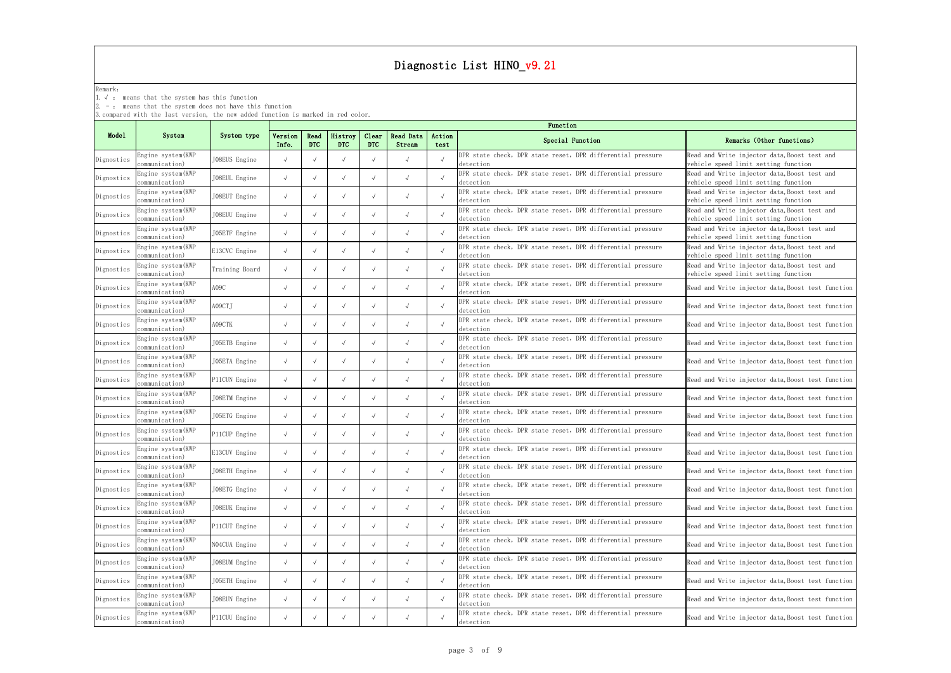Remark:

1.√ : means that the system has this function

2. - : means that the system does not have this function

|            | 3. compared with the last version, the new added function is marked in red color. |                |                  |                    |                       |                     |                     |                | Function                                                                 |                                                                                      |
|------------|-----------------------------------------------------------------------------------|----------------|------------------|--------------------|-----------------------|---------------------|---------------------|----------------|--------------------------------------------------------------------------|--------------------------------------------------------------------------------------|
| Mode1      | System                                                                            | System type    | Version<br>Info. | Read<br><b>DTC</b> | Histroy<br><b>DTC</b> | Clear<br><b>DTC</b> | Read Data<br>Stream | Action<br>test | Special Function                                                         | Remarks (Other functions)                                                            |
| Dignostics | Engine system (KWP<br>communication)                                              | J08EUS Engine  |                  |                    | $\sqrt{ }$            |                     | $\sqrt{ }$          | $\sqrt{ }$     | DPR state check, DPR state reset, DPR differential pressure<br>detection | Read and Write injector data, Boost test and<br>vehicle speed limit setting function |
| Dignostics | Engine system (KWP<br>communication)                                              | JO8EUL Engine  |                  |                    | $\sqrt{ }$            |                     |                     |                | DPR state check, DPR state reset, DPR differential pressure<br>detection | Read and Write injector data, Boost test and<br>vehicle speed limit setting function |
| Dignostics | Engine system (KWP<br>communication)                                              | JO8EUT Engine  | $\sqrt{ }$       |                    | $\sqrt{ }$            |                     | $\sqrt{ }$          | $\sqrt{ }$     | DPR state check, DPR state reset, DPR differential pressure<br>detection | Read and Write injector data, Boost test and<br>vehicle speed limit setting function |
| Dignostics | Engine system (KWP<br>communication)                                              | JO8EUU Engine  | $\sqrt{ }$       |                    | $\sqrt{ }$            |                     |                     | $\sqrt{ }$     | DPR state check, DPR state reset, DPR differential pressure<br>detection | Read and Write injector data, Boost test and<br>vehicle speed limit setting function |
| Dignostics | Engine system (KWP<br>communication)                                              | J05ETF Engine  | $\sqrt{ }$       |                    | $\sqrt{ }$            |                     | $\sqrt{ }$          | $\sqrt{ }$     | DPR state check, DPR state reset, DPR differential pressure<br>detection | Read and Write injector data, Boost test and<br>vehicle speed limit setting function |
| Dignostics | Engine system(KWP<br>communication)                                               | E13CVC Engine  | $\sqrt{ }$       |                    | $\sqrt{ }$            |                     | $\sqrt{ }$          |                | DPR state check, DPR state reset, DPR differential pressure<br>detection | Read and Write injector data, Boost test and<br>vehicle speed limit setting function |
| Dignostics | Engine system (KWP<br>communication)                                              | Training Board |                  |                    | $\sqrt{ }$            |                     | $\sqrt{ }$          | $\sqrt{ }$     | DPR state check, DPR state reset, DPR differential pressure<br>detection | Read and Write injector data, Boost test and<br>vehicle speed limit setting function |
| Dignostics | Engine system (KWP<br>communication)                                              | A09C           |                  |                    | $\sqrt{ }$            |                     |                     | $\sqrt{ }$     | DPR state check, DPR state reset, DPR differential pressure<br>detection | Read and Write injector data, Boost test function                                    |
| Dignostics | Engine system (KWP<br>communication)                                              | A09CTJ         | $\sqrt{ }$       |                    | $\sqrt{ }$            |                     | $\sqrt{ }$          | $\sqrt{ }$     | DPR state check, DPR state reset, DPR differential pressure<br>detection | Read and Write injector data, Boost test function                                    |
| Dignostics | Engine system(KWP<br>communication)                                               | A09CTK         | $\sqrt{ }$       |                    | $\sqrt{ }$            |                     | $\sqrt{ }$          | $\sqrt{ }$     | DPR state check, DPR state reset, DPR differential pressure<br>detection | Read and Write injector data, Boost test function                                    |
| Dignostics | Engine system(KWP<br>communication)                                               | JO5ETB Engine  | $\sqrt{ }$       |                    | $\sqrt{ }$            |                     | $\sqrt{ }$          | $\sqrt{ }$     | DPR state check, DPR state reset, DPR differential pressure<br>detection | Read and Write injector data, Boost test function                                    |
| Dignostics | Engine system (KWP<br>communication)                                              | J05ETA Engine  | $\sqrt{ }$       |                    | $\sqrt{ }$            |                     | $\sqrt{ }$          | $\sqrt{ }$     | DPR state check, DPR state reset, DPR differential pressure<br>detection | Read and Write injector data, Boost test function                                    |
| Dignostics | Engine system (KWP<br>communication)                                              | P11CUN Engine  | $\sqrt{ }$       |                    | $\sqrt{ }$            |                     | $\sqrt{ }$          | $\sqrt{ }$     | DPR state check, DPR state reset, DPR differential pressure<br>detection | Read and Write injector data, Boost test function                                    |
| Dignostics | Engine system (KWP<br>communication)                                              | JO8ETM Engine  | $\sqrt{ }$       |                    | $\sqrt{ }$            | $\sqrt{ }$          | $\sqrt{ }$          |                | DPR state check, DPR state reset, DPR differential pressure<br>detection | Read and Write injector data, Boost test function                                    |
| Dignostics | Engine system (KWP<br>communication)                                              | J05ETG Engine  |                  |                    |                       |                     |                     |                | DPR state check, DPR state reset, DPR differential pressure<br>detection | Read and Write injector data, Boost test function                                    |
| Dignostics | Engine system (KWP<br>communication)                                              | P11CUP Engine  |                  |                    | $\sqrt{ }$            |                     | $\sqrt{ }$          |                | DPR state check, DPR state reset, DPR differential pressure<br>detection | Read and Write injector data, Boost test function                                    |
| Dignostics | Engine system (KWP<br>communication)                                              | E13CUV Engine  | $\sqrt{ }$       |                    | $\sqrt{ }$            |                     | $\sqrt{ }$          | $\sqrt{ }$     | DPR state check, DPR state reset, DPR differential pressure<br>detection | Read and Write injector data, Boost test function                                    |
| Dignostics | Engine system(KWP<br>communication)                                               | JO8ETH Engine  | $\sqrt{ }$       |                    | $\sqrt{ }$            |                     | $\sqrt{ }$          | $\sqrt{ }$     | DPR state check, DPR state reset, DPR differential pressure<br>detection | Read and Write injector data, Boost test function                                    |
| Dignostics | Engine system(KWP<br>communication)                                               | JO8ETG Engine  |                  |                    | $\sqrt{ }$            |                     | $\sqrt{ }$          | $\sqrt{ }$     | DPR state check, DPR state reset, DPR differential pressure<br>detection | Read and Write injector data, Boost test function                                    |
| Dignostics | Engine system (KWP<br>communication)                                              | JO8EUK Engine  |                  |                    | $\sqrt{ }$            |                     | $\sqrt{ }$          | $\sqrt{ }$     | DPR state check, DPR state reset, DPR differential pressure<br>detection | Read and Write injector data, Boost test function                                    |
| Dignostics | Engine system (KWP<br>communication)                                              | P11CUT Engine  | $\sqrt{ }$       |                    | $\sqrt{ }$            |                     | $\sqrt{ }$          | $\sqrt{ }$     | DPR state check, DPR state reset, DPR differential pressure<br>detection | Read and Write injector data, Boost test function                                    |
| Dignostics | Engine system (KWP<br>communication)                                              | NO4CUA Engine  | $\sqrt{ }$       |                    | $\sqrt{ }$            |                     | $\sqrt{ }$          | $\sqrt{ }$     | DPR state check, DPR state reset, DPR differential pressure<br>detection | Read and Write injector data, Boost test function                                    |
| Dignostics | Engine system (KWP<br>communication)                                              | JO8EUM Engine  |                  |                    | $\sqrt{ }$            |                     | $\sqrt{ }$          | $\sqrt{ }$     | DPR state check, DPR state reset, DPR differential pressure<br>detection | Read and Write injector data, Boost test function                                    |
| Dignostics | Engine system(KWP<br>communication)                                               | J05ETH Engine  |                  |                    | $\sqrt{ }$            |                     | $\sqrt{ }$          | $\sqrt{ }$     | DPR state check, DPR state reset, DPR differential pressure<br>detection | Read and Write injector data, Boost test function                                    |
| Dignostics | Engine system(KWP<br>communication)                                               | JO8EUN Engine  | $\sqrt{ }$       |                    | $\sqrt{ }$            |                     | $\sqrt{ }$          | $\sqrt{ }$     | DPR state check, DPR state reset, DPR differential pressure<br>detection | Read and Write injector data, Boost test function                                    |
| Dignostics | Engine system (KWP<br>communication)                                              | P11CUU Engine  |                  |                    | $\sqrt{ }$            |                     | $\sqrt{ }$          | $\sqrt{ }$     | DPR state check, DPR state reset, DPR differential pressure<br>detection | Read and Write injector data, Boost test function                                    |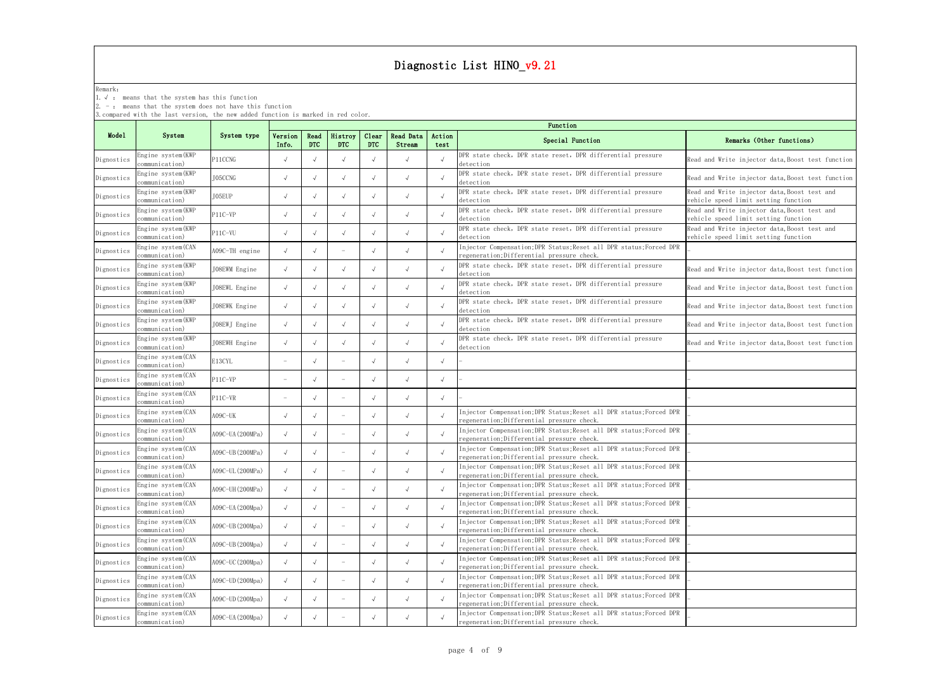Remark:

1.√ : means that the system has this function

|            | $2. -$ : means that the system does not have this function<br>3. compared with the last version, the new added function is marked in red color. |                  |                          |                    |                          |                     |                     |                |                                                                                                                   |                                                                                      |
|------------|-------------------------------------------------------------------------------------------------------------------------------------------------|------------------|--------------------------|--------------------|--------------------------|---------------------|---------------------|----------------|-------------------------------------------------------------------------------------------------------------------|--------------------------------------------------------------------------------------|
|            |                                                                                                                                                 |                  |                          |                    |                          |                     |                     |                | Function                                                                                                          |                                                                                      |
| Mode1      | System                                                                                                                                          | System type      | Version<br>Info.         | Read<br><b>DTC</b> | Histroy<br><b>DTC</b>    | Clear<br><b>DTC</b> | Read Data<br>Stream | Action<br>test | Special Function                                                                                                  | Remarks (Other functions)                                                            |
| Dignostics | Engine system(KWP<br>communication)                                                                                                             | P11CCNG          |                          |                    | $\sqrt{ }$               | $\sim$              |                     | $\sqrt{ }$     | DPR state check, DPR state reset, DPR differential pressure<br>detection                                          | Read and Write injector data, Boost test function                                    |
| Dignostics | Engine system (KWP<br>communication)                                                                                                            | J05CCNG          |                          |                    | $\sqrt{ }$               |                     |                     | $\sqrt{ }$     | DPR state check, DPR state reset, DPR differential pressure<br>detection                                          | Read and Write injector data, Boost test function                                    |
| Dignostics | Engine system(KWP<br>communication)                                                                                                             | J05EUP           |                          |                    | $\sqrt{ }$               |                     |                     | $\sqrt{ }$     | DPR state check, DPR state reset, DPR differential pressure<br>detection                                          | Read and Write injector data, Boost test and<br>vehicle speed limit setting function |
| Dignostics | Engine system(KWP<br>communication)                                                                                                             | P11C-VP          |                          |                    | $\sqrt{ }$               |                     |                     | $\sqrt{ }$     | DPR state check, DPR state reset, DPR differential pressure<br>detection                                          | Read and Write injector data, Boost test and<br>vehicle speed limit setting function |
| Dignostics | Engine system(KWP<br>communication)                                                                                                             | P11C-VU          |                          |                    | $\sqrt{ }$               | $\sim$              | $\sqrt{ }$          | $\sqrt{ }$     | DPR state check, DPR state reset, DPR differential pressure<br>detection                                          | Read and Write injector data, Boost test and<br>vehicle speed limit setting function |
| Dignostics | Engine system (CAN<br>communication)                                                                                                            | A09C-TH engine   |                          |                    | $\overline{\phantom{a}}$ |                     |                     | $\sqrt{ }$     | Injector Compensation; DPR Status; Reset all DPR status; Forced DPR<br>regeneration; Differential pressure check. |                                                                                      |
| Dignostics | Engine system (KWP<br>communication)                                                                                                            | JO8EWM Engine    |                          |                    | $\sqrt{ }$               |                     | $\sqrt{ }$          | $\sqrt{ }$     | DPR state check, DPR state reset, DPR differential pressure<br>detection                                          | Read and Write injector data, Boost test function                                    |
| Dignostics | Engine system(KWP<br>communication)                                                                                                             | JO8EWL Engine    |                          |                    | $\sqrt{ }$               |                     |                     | $\sqrt{ }$     | DPR state check, DPR state reset, DPR differential pressure<br>detection                                          | Read and Write injector data, Boost test function                                    |
| Dignostics | Engine system (KWP<br>communication)                                                                                                            | JO8EWK Engine    |                          |                    | $\sqrt{ }$               | $\sim$              | $\sqrt{ }$          | $\sqrt{ }$     | DPR state check, DPR state reset, DPR differential pressure<br>detection                                          | Read and Write injector data, Boost test function                                    |
| Dignostics | Engine system (KWP<br>communication)                                                                                                            | JO8EWJ Engine    |                          |                    | $\sqrt{ }$               |                     |                     | $\sqrt{ }$     | DPR state check, DPR state reset, DPR differential pressure<br>detection                                          | Read and Write injector data, Boost test function                                    |
| Dignostics | Engine system (KWP<br>communication)                                                                                                            | JO8EWH Engine    |                          |                    | $\sqrt{ }$               |                     | $\sqrt{ }$          |                | DPR state check, DPR state reset, DPR differential pressure<br>detection                                          | Read and Write injector data, Boost test function                                    |
| Dignostics | Engine system(CAN<br>communication)                                                                                                             | E13CYL           | $\overline{\phantom{a}}$ |                    | $\overline{\phantom{a}}$ |                     | $\sqrt{ }$          | $\sqrt{ }$     |                                                                                                                   |                                                                                      |
| Dignostics | Engine system (CAN<br>communication)                                                                                                            | P11C-VP          |                          |                    | $\overline{\phantom{a}}$ | $\sim$              | $\sqrt{ }$          | $\sqrt{ }$     |                                                                                                                   |                                                                                      |
| Dignostics | Engine system(CAN<br>communication)                                                                                                             | P11C-VR          |                          |                    | $\overline{\phantom{a}}$ |                     |                     | $\sqrt{ }$     |                                                                                                                   |                                                                                      |
| Dignostics | Engine system (CAN<br>communication)                                                                                                            | A09C-UK          | $\sqrt{ }$               |                    | $\overline{\phantom{m}}$ | $\sqrt{ }$          | $\sqrt{ }$          | $\sqrt{ }$     | Injector Compensation; DPR Status; Reset all DPR status; Forced DPR<br>regeneration; Differential pressure check. |                                                                                      |
| Dignostics | Engine system (CAN<br>communication)                                                                                                            | A09C-UA (200MPa) |                          |                    |                          |                     |                     | $\sqrt{ }$     | Injector Compensation; DPR Status; Reset all DPR status; Forced DPR<br>regeneration; Differential pressure check. |                                                                                      |
| Dignostics | Engine system (CAN<br>communication)                                                                                                            | A09C-UB (200MPa) |                          |                    |                          |                     |                     | $\sqrt{ }$     | Injector Compensation; DPR Status; Reset all DPR status; Forced DPR<br>regeneration; Differential pressure check. |                                                                                      |
| Dignostics | Engine system (CAN<br>communication)                                                                                                            | A09C-UL (200MPa) |                          |                    | $\overline{\phantom{a}}$ |                     |                     | $\sqrt{ }$     | Injector Compensation; DPR Status; Reset all DPR status; Forced DPR<br>regeneration; Differential pressure check. |                                                                                      |
| Dignostics | Engine system (CAN<br>communication)                                                                                                            | A09C-UH (200MPa) |                          |                    |                          | $\sim$              | $\sqrt{ }$          | $\sqrt{ }$     | Injector Compensation; DPR Status; Reset all DPR status; Forced DPR<br>regeneration; Differential pressure check. |                                                                                      |
| Dignostics | Engine system (CAN<br>communication)                                                                                                            | A09C-UA (200Mpa) |                          |                    |                          |                     |                     | $\sqrt{ }$     | Injector Compensation; DPR Status; Reset all DPR status; Forced DPR<br>regeneration; Differential pressure check. |                                                                                      |
| Dignostics | Engine system (CAN<br>communication)                                                                                                            | A09C-UB (200Mpa) |                          |                    |                          |                     | $\sqrt{ }$          | $\sqrt{ }$     | Injector Compensation; DPR Status; Reset all DPR status; Forced DPR<br>regeneration; Differential pressure check. |                                                                                      |
| Dignostics | Engine system (CAN<br>communication)                                                                                                            | A09C-UB (200Mpa) |                          |                    |                          |                     |                     | $\sqrt{ }$     | Injector Compensation; DPR Status; Reset all DPR status; Forced DPR<br>regeneration; Differential pressure check. |                                                                                      |
| Dignostics | Engine system (CAN<br>communication)                                                                                                            | A09C-UC (200Mpa) |                          |                    |                          | $\sim$              | $\sqrt{ }$          | $\sqrt{ }$     | Injector Compensation; DPR Status; Reset all DPR status; Forced DPR<br>regeneration; Differential pressure check. |                                                                                      |
| Dignostics | Engine system (CAN<br>communication)                                                                                                            | A09C-UD (200Mpa) |                          |                    |                          |                     |                     | $\sqrt{ }$     | Injector Compensation; DPR Status; Reset all DPR status; Forced DPR<br>regeneration; Differential pressure check. |                                                                                      |
| Dignostics | Engine system (CAN<br>communication)                                                                                                            | A09C-UD (200Mpa) |                          |                    |                          |                     |                     | $\sqrt{ }$     | Injector Compensation; DPR Status; Reset all DPR status; Forced DPR<br>regeneration; Differential pressure check. |                                                                                      |
| Dignostics | Engine system (CAN<br>communication)                                                                                                            | A09C-UA (200Mpa) |                          |                    |                          |                     |                     | $\sqrt{ }$     | Injector Compensation; DPR Status; Reset all DPR status; Forced DPR<br>regeneration; Differential pressure check. |                                                                                      |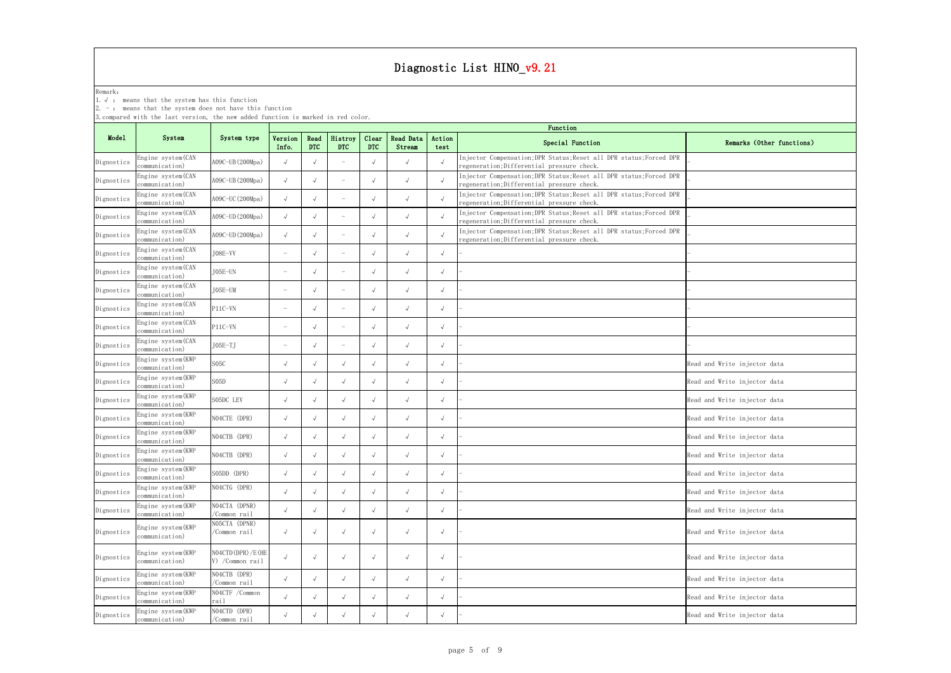Remark:

1.√ : means that the system has this function

|                                      |                               |                          |                                                                                    |                          |                     |                                                                                   |                | Function                                                                                                          |                                            |
|--------------------------------------|-------------------------------|--------------------------|------------------------------------------------------------------------------------|--------------------------|---------------------|-----------------------------------------------------------------------------------|----------------|-------------------------------------------------------------------------------------------------------------------|--------------------------------------------|
| System                               | System type                   | Version<br>Info.         | Read<br><b>DTC</b>                                                                 | Histroy<br><b>DTC</b>    | Clear<br><b>DTC</b> | Read Data<br>Stream                                                               | Action<br>test | Special Function                                                                                                  | Remarks (Other functions)                  |
| Engine system (CAN<br>communication) | A09C-UB (200Mpa)              |                          |                                                                                    | $\overline{\phantom{a}}$ |                     |                                                                                   | $\sqrt{ }$     | Injector Compensation; DPR Status; Reset all DPR status; Forced DPR<br>regeneration; Differential pressure check. |                                            |
| Engine system (CAN<br>communication) | A09C-UB (200Mpa)              |                          |                                                                                    | $\overline{\phantom{a}}$ |                     | $\sqrt{ }$                                                                        | $\sqrt{ }$     | Injector Compensation; DPR Status; Reset all DPR status; Forced DPR<br>regeneration; Differential pressure check. |                                            |
| Engine system (CAN<br>communication) | A09C-UC (200Mpa)              |                          |                                                                                    | $\overline{\phantom{a}}$ |                     | $\sqrt{ }$                                                                        | $\sqrt{ }$     | Injector Compensation; DPR Status; Reset all DPR status; Forced DPR<br>regeneration; Differential pressure check. |                                            |
| Engine system (CAN<br>communication) | A09C-UD (200Mpa)              |                          |                                                                                    | $\overline{\phantom{a}}$ | $\sqrt{ }$          | $\sqrt{ }$                                                                        | $\sqrt{ }$     | Injector Compensation; DPR Status; Reset all DPR status; Forced DPR                                               |                                            |
| Engine system (CAN<br>communication) | A09C-UD (200Mpa)              |                          |                                                                                    | $\overline{\phantom{a}}$ |                     | $\sqrt{ }$                                                                        | $\sqrt{ }$     | Injector Compensation; DPR Status; Reset all DPR status; Forced DPR<br>regeneration; Differential pressure check. |                                            |
| Engine system (CAN<br>communication) | $JO8E-VV$                     | $\overline{\phantom{a}}$ |                                                                                    | $\overline{\phantom{m}}$ |                     | $\sqrt{ }$                                                                        | $\sqrt{ }$     |                                                                                                                   |                                            |
| Engine system (CAN<br>communication) | $JO5E-UN$                     | $\overline{\phantom{a}}$ |                                                                                    | $\overline{\phantom{m}}$ |                     | $\sqrt{ }$                                                                        | $\sqrt{ }$     |                                                                                                                   |                                            |
| Engine system (CAN<br>communication) | $JO5E-UM$                     | $\overline{\phantom{a}}$ |                                                                                    | $\overline{\phantom{m}}$ | $\sqrt{ }$          | $\sqrt{ }$                                                                        | $\sqrt{ }$     |                                                                                                                   |                                            |
| Engine system (CAN<br>communication) | $P11C-VN$                     | $\overline{\phantom{a}}$ |                                                                                    | $\overline{\phantom{a}}$ |                     | $\sqrt{ }$                                                                        | $\sqrt{ }$     |                                                                                                                   |                                            |
| Engine system (CAN<br>communication) | $P11C-VN$                     | $\overline{\phantom{a}}$ |                                                                                    | $\overline{\phantom{m}}$ |                     | $\sqrt{ }$                                                                        | $\sqrt{ }$     |                                                                                                                   |                                            |
| Engine system (CAN<br>communication) | $JO5E-TJ$                     | $\overline{\phantom{a}}$ |                                                                                    | $\overline{\phantom{m}}$ |                     | $\sqrt{ }$                                                                        | $\sqrt{ }$     |                                                                                                                   |                                            |
| Engine system (KWP<br>communication) | S05C                          | $\sqrt{ }$               |                                                                                    | $\sqrt{ }$               | $\sqrt{ }$          | $\sqrt{ }$                                                                        | $\sqrt{ }$     |                                                                                                                   | Read and Write injector data               |
| Engine system (KWP<br>communication) | S05D                          | $\sqrt{ }$               |                                                                                    | $\sqrt{ }$               |                     | $\sqrt{ }$                                                                        | $\sqrt{ }$     |                                                                                                                   | Read and Write injector data               |
| Engine system (KWP<br>communication) | S05DC LEV                     |                          |                                                                                    |                          |                     |                                                                                   | $\sqrt{ }$     |                                                                                                                   | Read and Write injector data               |
| Engine system (KWP<br>communication) | NO4CTE (DPR)                  | $\sqrt{ }$               |                                                                                    | $\sqrt{ }$               |                     | $\sqrt{ }$                                                                        | $\sqrt{ }$     |                                                                                                                   | Read and Write injector data               |
| Engine system (KWP<br>communication) | NO4CTB (DPR)                  | $\sqrt{ }$               |                                                                                    | $\sqrt{ }$               |                     | $\sqrt{ }$                                                                        | $\sqrt{ }$     |                                                                                                                   | Read and Write injector data               |
| Engine system (KWP<br>communication) | NO4CTB (DPR)                  | $\sqrt{ }$               |                                                                                    | $\sqrt{ }$               |                     | $\sqrt{ }$                                                                        | $\sqrt{ }$     |                                                                                                                   | Read and Write injector data               |
| Engine system (KWP<br>communication) | S05DD (DPR)                   | $\sqrt{ }$               |                                                                                    | $\sqrt{ }$               | $\sqrt{ }$          | $\sqrt{ }$                                                                        | $\sqrt{ }$     |                                                                                                                   | Read and Write injector data               |
| Engine system (KWP<br>communication) | NO4CTG (DPR)                  |                          |                                                                                    | $\sqrt{ }$               | $\sqrt{ }$          | $\sqrt{ }$                                                                        | $\sqrt{ }$     |                                                                                                                   | Read and Write injector data               |
| Engine system (KWP<br>communication) | NO4CTA (DPNR)<br>/Common rail | $\sqrt{ }$               |                                                                                    | $\sqrt{ }$               | $\sim$              | $\sqrt{ }$                                                                        | $\sqrt{ }$     |                                                                                                                   | Read and Write injector data               |
| Engine system (KWP<br>communication) | NO5CTA (DPNR)<br>/Common rail | $\sqrt{ }$               |                                                                                    | $\sqrt{ }$               | $\rightsquigarrow$  | $\sqrt{ }$                                                                        | $\sqrt{ }$     |                                                                                                                   | Read and Write injector data               |
| Engine system (KWP<br>communication) | V) / Common rail              |                          |                                                                                    | $\sqrt{ }$               | $\rightsquigarrow$  | $\sqrt{ }$                                                                        | $\sqrt{ }$     |                                                                                                                   | Read and Write injector data               |
| Engine system (KWP<br>communication) | NO4CTB (DPR)<br>/Common rail  |                          |                                                                                    | $\sqrt{ }$               | $\sim$              | $\sqrt{ }$                                                                        | $\sqrt{ }$     |                                                                                                                   | Read and Write injector data               |
| Engine system (KWP<br>communication) | NO4CTF / Common<br>rail       |                          |                                                                                    | $\sqrt{ }$               | $\sqrt{ }$          | $\sqrt{ }$                                                                        | $\sqrt{ }$     |                                                                                                                   | Read and Write injector data               |
| Engine system (KWP<br>communication) | NO4CTD (DPR)<br>/Common rail  |                          |                                                                                    | $\sqrt{ }$               |                     | $\sqrt{ }$                                                                        | $\sqrt{ }$     |                                                                                                                   | Read and Write injector data               |
|                                      |                               |                          | $2. -$ : means that the system does not have this function<br>NO4CTD (DPR) / E (HE |                          |                     | 3. compared with the last version, the new added function is marked in red color. |                |                                                                                                                   | regeneration; Differential pressure check. |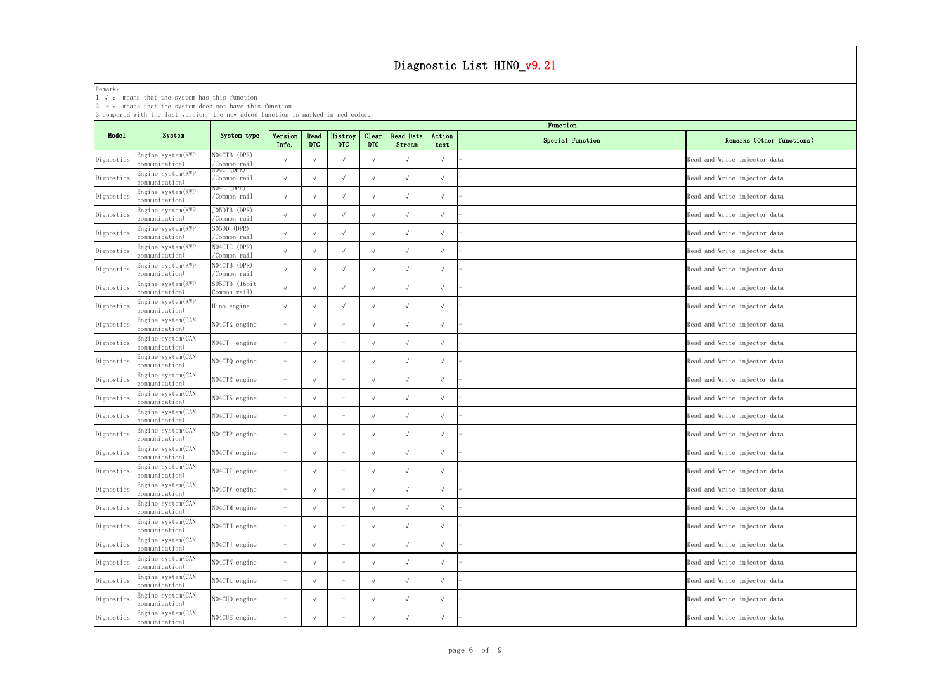Remark:

|            | 1. $\sqrt{ }$ : means that the system has this function<br>2. $-$ : means that the system does not have this function |                                    |                          |                    |                                 |                     |                     |                |                  |                              |
|------------|-----------------------------------------------------------------------------------------------------------------------|------------------------------------|--------------------------|--------------------|---------------------------------|---------------------|---------------------|----------------|------------------|------------------------------|
|            | 3. compared with the last version, the new added function is marked in red color.                                     |                                    |                          |                    |                                 |                     |                     |                | Function         |                              |
| Mode1      | System                                                                                                                | System type                        | Version<br>Info.         | Read<br><b>DTC</b> | Histroy<br><b>DTC</b>           | Clear<br><b>DTC</b> | Read Data<br>Stream | Action<br>test | Special Function | Remarks (Other functions)    |
| Dignostics | Engine system (KWP<br>communication)                                                                                  | NO4CTB (DPR)<br>/Common rail       |                          |                    | $\sqrt{ }$                      |                     | $\sqrt{ }$          | $\sqrt{ }$     |                  | Read and Write injector data |
| Dignostics | Engine system (KWP<br>communication)                                                                                  | NU4U (DPK)<br>/Common rail         | $\sqrt{ }$               |                    | $\sqrt{ }$                      | $\sqrt{ }$          | $\sqrt{ }$          | $\sqrt{ }$     |                  | Read and Write injector data |
| Dignostics | Engine system (KWP<br>communication)                                                                                  | NU4U (DPK <i>)</i><br>/Common rail |                          |                    | $\sqrt{ }$                      |                     | $\sqrt{ }$          | $\sqrt{ }$     |                  | Read and Write injector data |
| Dignostics | Engine system (KWP<br>communication)                                                                                  | JO5DTB (DPR)<br>/Common rail       |                          |                    | $\sqrt{ }$                      |                     | $\sqrt{ }$          | $\sqrt{ }$     |                  | Read and Write injector data |
| Dignostics | Engine system (KWP<br>communication)                                                                                  | SO5DD (DPR)<br>/Common rail        | $\sqrt{ }$               |                    | $\sqrt{ }$                      | $\sqrt{ }$          | $\sqrt{ }$          | $\sqrt{ }$     |                  | Read and Write injector data |
| Dignostics | Engine system (KWP<br>communication)                                                                                  | NO4CTC (DPR)<br>/Common rail       |                          |                    | $\sqrt{ }$                      | $\sqrt{ }$          | $\sqrt{ }$          | $\sqrt{ }$     |                  | Read and Write injector data |
| Dignostics | Engine system (KWP<br>communication)                                                                                  | NO4CTB (DPR)<br>/Common rail       |                          |                    | $\sqrt{ }$                      |                     | $\sqrt{ }$          | $\sqrt{ }$     |                  | Read and Write injector data |
| Dignostics | Engine system (KWP<br>communication)                                                                                  | SO5CTB (16bit<br>Common rail)      |                          |                    | $\sqrt{ }$                      |                     | $\sqrt{ }$          | $\sqrt{ }$     |                  | Read and Write injector data |
| Dignostics | Engine system (KWP<br>communication)                                                                                  | Hino engine                        | $\sqrt{ }$               |                    | $\sqrt{ }$                      | $\sqrt{ }$          | $\sqrt{ }$          | $\sqrt{ }$     |                  | Read and Write injector data |
| Dignostics | Engine system (CAN<br>communication)                                                                                  | NO4CTK engine                      |                          |                    | $\overline{\phantom{a}}$        |                     | $\sqrt{ }$          | $\sqrt{ }$     |                  | Read and Write injector data |
| Dignostics | Engine system (CAN<br>communication)                                                                                  | NO4CT engine                       | $\overline{\phantom{m}}$ |                    | $\overline{\phantom{a}}$        |                     | $\sqrt{ }$          | $\sqrt{ }$     |                  | Read and Write injector data |
| Dignostics | Engine system (CAN<br>communication)                                                                                  | NO4CTQ engine                      | $\overline{\phantom{a}}$ |                    | $\hspace{0.1mm}-\hspace{0.1mm}$ |                     | $\sqrt{ }$          | $\sqrt{ }$     |                  | Read and Write injector data |
| Dignostics | Engine system (CAN<br>communication)                                                                                  | NO4CTR engine                      |                          |                    | $\hspace{0.1mm}-\hspace{0.1mm}$ |                     | $\sqrt{ }$          | $\sqrt{ }$     |                  | Read and Write injector data |
| Dignostics | Engine system (CAN<br>communication)                                                                                  | NO4CTS engine                      |                          |                    | $\overline{\phantom{a}}$        |                     | $\sqrt{ }$          |                |                  | Read and Write injector data |
| Dignostics | Engine system (CAN<br>communication)                                                                                  | NO4CTU engine                      | $\overline{\phantom{a}}$ |                    | $\overline{\phantom{m}}$        | $\sqrt{ }$          | $\sqrt{ }$          | $\sqrt{ }$     |                  | Read and Write injector data |
| Dignostics | Engine system (CAN<br>communication)                                                                                  | NO4CTP engine                      | $\overline{\phantom{a}}$ |                    | $\overline{\phantom{m}}$        | $\sqrt{ }$          | $\sqrt{ }$          | $\sqrt{ }$     |                  | Read and Write injector data |
| Dignostics | Engine system (CAN<br>communication)                                                                                  | NO4CTW engine                      |                          |                    | $\hspace{0.1mm}-\hspace{0.1mm}$ |                     | $\sqrt{ }$          | $\sqrt{ }$     |                  | Read and Write injector data |
| Dignostics | Engine system (CAN<br>communication)                                                                                  | NO4CTT engine                      | $\overline{\phantom{a}}$ |                    | $\hspace{0.1mm}-\hspace{0.1mm}$ |                     | $\sqrt{ }$          | $\sqrt{ }$     |                  | Read and Write injector data |
| Dignostics | Engine system (CAN<br>communication)                                                                                  | NO4CTV engine                      | $\overline{\phantom{a}}$ |                    | $\overline{\phantom{m}}$        | $\sqrt{ }$          | $\sqrt{ }$          | $\sqrt{ }$     |                  | Read and Write injector data |
| Dignostics | Engine system (CAN<br>communication)                                                                                  | NO4CTM engine                      | $\overline{\phantom{a}}$ |                    | $\hspace{0.1mm}-\hspace{0.1mm}$ | $\sqrt{ }$          | $\sqrt{ }$          | $\sqrt{ }$     |                  | Read and Write injector data |
| Dignostics | Engine system (CAN<br>communication)                                                                                  | NO4CTH engine                      | $\overline{\phantom{a}}$ |                    | $\hspace{0.1mm}-\hspace{0.1mm}$ | $\sqrt{ }$          | $\sqrt{ }$          | $\sqrt{ }$     |                  | Read and Write injector data |
| Dignostics | Engine system (CAN<br>communication)                                                                                  | NO4CTJ engine                      | $\overline{\phantom{a}}$ |                    | $\hspace{0.1mm}-\hspace{0.1mm}$ |                     | $\sqrt{ }$          | $\sqrt{ }$     |                  | Read and Write injector data |
| Dignostics | Engine system (CAN<br>communication)                                                                                  | NO4CTN engine                      | $\overline{\phantom{a}}$ |                    | $\overline{\phantom{m}}$        | $\sqrt{ }$          | $\sqrt{ }$          | $\sqrt{ }$     |                  | Read and Write injector data |
| Dignostics | Engine system (CAN<br>communication)                                                                                  | NO4CTL engine                      |                          |                    | $\overline{\phantom{m}}$        | $\sqrt{ }$          | $\sqrt{ }$          | $\sqrt{ }$     |                  | Read and Write injector data |
| Dignostics | Engine system (CAN<br>communication)                                                                                  | NO4CUD engine                      | $\overline{\phantom{a}}$ |                    | $\hspace{0.1mm}-\hspace{0.1mm}$ |                     | $\sqrt{ }$          | $\sqrt{ }$     |                  | Read and Write injector data |
| Dignostics | Engine system (CAN<br>communication)                                                                                  | NO4CUE engine                      |                          |                    | $\overline{\phantom{m}}$        |                     | $\sqrt{ }$          | $\sqrt{ }$     |                  | Read and Write injector data |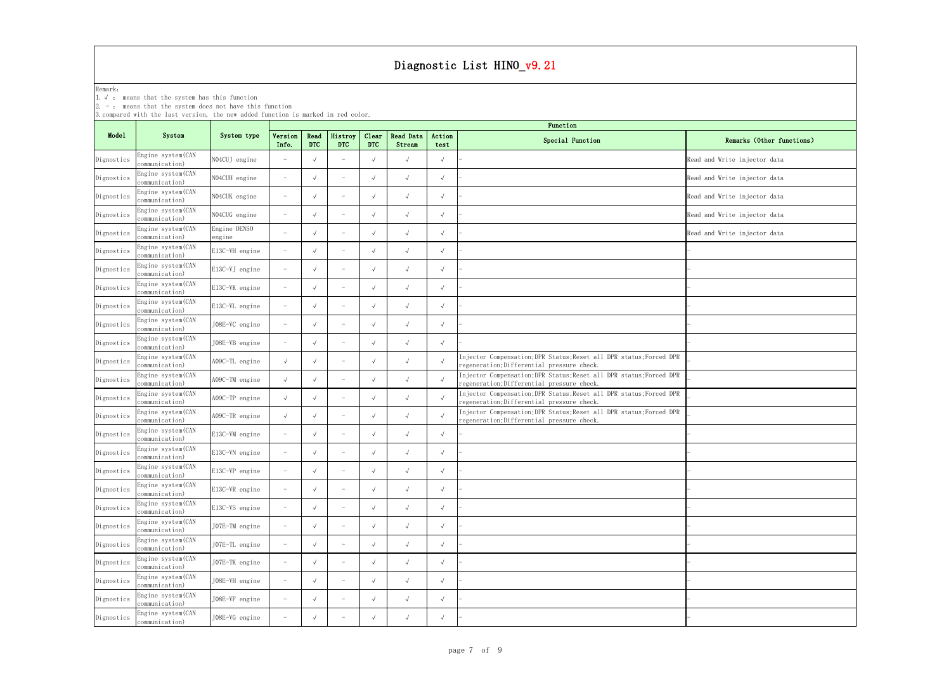Remark:

| nemain:    | 1. $\sqrt{ }$ : means that the system has this function<br>$2. -$ : means that the system does not have this function<br>3. compared with the last version, the new added function is marked in red color. |                        |                          |                    |                                 |                     |                     |                |                                                                                                                   |                              |  |
|------------|------------------------------------------------------------------------------------------------------------------------------------------------------------------------------------------------------------|------------------------|--------------------------|--------------------|---------------------------------|---------------------|---------------------|----------------|-------------------------------------------------------------------------------------------------------------------|------------------------------|--|
|            |                                                                                                                                                                                                            |                        | Function                 |                    |                                 |                     |                     |                |                                                                                                                   |                              |  |
| Mode1      | System                                                                                                                                                                                                     | System type            | Version<br>Info.         | Read<br><b>DTC</b> | Histroy<br><b>DTC</b>           | Clear<br><b>DTC</b> | Read Data<br>Stream | Action<br>test | Special Function                                                                                                  | Remarks (Other functions)    |  |
| Dignostics | Engine system (CAN<br>communication)                                                                                                                                                                       | NO4CUJ engine          |                          |                    | $\overline{\phantom{a}}$        | $\sim$              | $\sqrt{ }$          | $\sqrt{ }$     |                                                                                                                   | Read and Write injector data |  |
| Dignostics | Engine system (CAN<br>communication)                                                                                                                                                                       | NO4CUH engine          | $ \,$                    |                    | $\overline{\phantom{m}}$        | $\sim$              | $\sqrt{ }$          | $\sqrt{ }$     |                                                                                                                   | Read and Write injector data |  |
| Dignostics | Engine system (CAN<br>communication)                                                                                                                                                                       | NO4CUK engine          |                          |                    | $\overline{\phantom{m}}$        | $\sqrt{ }$          | $\sqrt{ }$          | $\sqrt{ }$     |                                                                                                                   | Read and Write injector data |  |
| Dignostics | Engine system (CAN<br>communication)                                                                                                                                                                       | NO4CUG engine          | $\overline{\phantom{a}}$ |                    | $\overline{\phantom{m}}$        | $\sim$              | $\sqrt{ }$          | $\sqrt{ }$     |                                                                                                                   | Read and Write injector data |  |
| Dignostics | Engine system (CAN<br>communication)                                                                                                                                                                       | Engine DENSO<br>engine |                          |                    | $\overline{\phantom{a}}$        | $\sim$              | $\sqrt{ }$          | $\sqrt{ }$     |                                                                                                                   | Read and Write injector data |  |
| Dignostics | Engine system (CAN<br>communication)                                                                                                                                                                       | E13C-VH engine         |                          |                    | $\overline{\phantom{m}}$        | $\sim$              | $\sqrt{ }$          | $\sqrt{ }$     |                                                                                                                   |                              |  |
| Dignostics | Engine system (CAN<br>communication)                                                                                                                                                                       | E13C-VJ engine         |                          |                    | $\overline{\phantom{m}}$        | $\sqrt{ }$          | $\sqrt{ }$          | $\sqrt{ }$     |                                                                                                                   |                              |  |
| Dignostics | Engine system (CAN<br>communication)                                                                                                                                                                       | E13C-VK engine         |                          |                    | $\overline{\phantom{m}}$        | $\sim$              | $\sqrt{ }$          | $\sqrt{ }$     |                                                                                                                   |                              |  |
| Dignostics | Engine system (CAN<br>communication)                                                                                                                                                                       | E13C-VL engine         |                          |                    | $\overline{\phantom{m}}$        | $\sim$              | $\sqrt{ }$          | $\sqrt{ }$     |                                                                                                                   |                              |  |
| Dignostics | Engine system(CAN<br>communication)                                                                                                                                                                        | J08E-VC engine         |                          |                    | $\hspace{0.1mm}-\hspace{0.1mm}$ | $\sqrt{ }$          | $\sqrt{ }$          | $\sqrt{ }$     |                                                                                                                   |                              |  |
| Dignostics | Engine system (CAN<br>communication)                                                                                                                                                                       | JO8E-VB engine         |                          |                    | $\overline{\phantom{m}}$        | $\sqrt{ }$          | $\sqrt{ }$          | $\sqrt{ }$     |                                                                                                                   |                              |  |
| Dignostics | Engine system (CAN<br>communication)                                                                                                                                                                       | A09C-TL engine         |                          |                    | $\overline{\phantom{m}}$        | $\sim$              | $\sqrt{ }$          | $\sqrt{ }$     | Injector Compensation; DPR Status; Reset all DPR status; Forced DPR<br>regeneration; Differential pressure check. |                              |  |
| Dignostics | Engine system (CAN<br>communication)                                                                                                                                                                       | A09C-TM engine         |                          |                    | $\hspace{0.1mm}-\hspace{0.1mm}$ | $\sqrt{ }$          | $\sqrt{ }$          | $\sqrt{ }$     | Injector Compensation; DPR Status; Reset all DPR status; Forced DPR<br>regeneration; Differential pressure check. |                              |  |
| Dignostics | Engine system (CAN<br>communication)                                                                                                                                                                       | A09C-TP engine         | $\sqrt{ }$               | $\sqrt{ }$         | $\overline{\phantom{m}}$        | $\sqrt{ }$          | $\sqrt{ }$          |                | Injector Compensation; DPR Status; Reset all DPR status; Forced DPR<br>regeneration; Differential pressure check. |                              |  |
| Dignostics | Engine system (CAN<br>communication)                                                                                                                                                                       | A09C-TR engine         |                          |                    | $\hspace{0.1mm}-\hspace{0.1mm}$ | $\sqrt{ }$          | $\sqrt{ }$          | $\sqrt{ }$     | Injector Compensation; DPR Status; Reset all DPR status; Forced DPR<br>regeneration; Differential pressure check. |                              |  |
| Dignostics | Engine system (CAN<br>communication)                                                                                                                                                                       | E13C-VM engine         |                          |                    | $\hspace{0.1mm}-\hspace{0.1mm}$ | $\sqrt{ }$          | $\sqrt{ }$          | $\sqrt{ }$     |                                                                                                                   |                              |  |
| Dignostics | Engine system(CAN<br>communication)                                                                                                                                                                        | E13C-VN engine         |                          |                    | $-$                             | $\sqrt{ }$          | $\sqrt{ }$          | $\sqrt{ }$     |                                                                                                                   |                              |  |
| Dignostics | Engine system (CAN<br>communication)                                                                                                                                                                       | E13C-VP engine         |                          |                    | $\hspace{0.1mm}-\hspace{0.1mm}$ | $\sqrt{ }$          | $\sqrt{ }$          | $\sqrt{ }$     |                                                                                                                   |                              |  |
| Dignostics | Engine system (CAN<br>communication)                                                                                                                                                                       | E13C-VR engine         |                          |                    | $\overline{\phantom{m}}$        | $\sqrt{ }$          | $\sqrt{ }$          | $\sqrt{ }$     |                                                                                                                   |                              |  |
| Dignostics | Engine system(CAN<br>communication)                                                                                                                                                                        | E13C-VS engine         |                          |                    | $\overline{\phantom{m}}$        | $\sim$              | $\sqrt{ }$          | $\sqrt{ }$     |                                                                                                                   |                              |  |
| Dignostics | Engine system (CAN<br>communication)                                                                                                                                                                       | JO7E-TM engine         |                          |                    | $-$                             | $\sqrt{ }$          | $\sqrt{ }$          | $\sqrt{ }$     |                                                                                                                   |                              |  |
| Dignostics | Engine system (CAN<br>communication)                                                                                                                                                                       | J07E-TL engine         |                          |                    | $\overline{\phantom{a}}$        | $\sqrt{ }$          | $\sqrt{ }$          | $\sqrt{ }$     |                                                                                                                   |                              |  |
| Dignostics | Engine system (CAN<br>communication)                                                                                                                                                                       | JO7E-TK engine         |                          |                    | $\overline{\phantom{m}}$        | $\sqrt{ }$          | $\sqrt{ }$          | $\sqrt{ }$     |                                                                                                                   |                              |  |
| Dignostics | Engine system(CAN<br>communication)                                                                                                                                                                        | JO8E-VH engine         |                          |                    | $\hspace{0.1mm}-\hspace{0.1mm}$ | $\sim$              | $\sqrt{ }$          | $\sqrt{ }$     |                                                                                                                   |                              |  |
| Dignostics | Engine system(CAN<br>communication)                                                                                                                                                                        | JO8E-VF engine         |                          |                    | $-$                             | $\sqrt{ }$          | $\sqrt{ }$          | $\sqrt{ }$     |                                                                                                                   |                              |  |
| Dignostics | Engine system (CAN<br>communication)                                                                                                                                                                       | JO8E-VG engine         |                          |                    | $\overline{\phantom{m}}$        | $\sqrt{ }$          | $\sqrt{ }$          | $\sqrt{ }$     |                                                                                                                   |                              |  |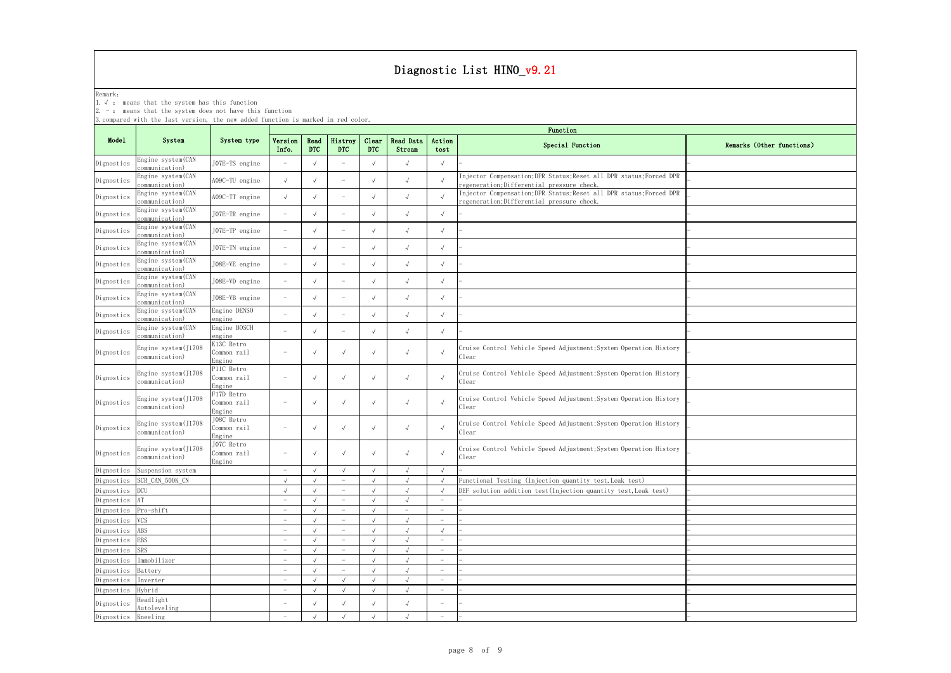#### $\sum_{n=1}^{\infty}$ gnostic List HINO v $\Omega$ .

|                                  |                                                                                                                                                                                                   |                                     |                                                      |                    |                                                      |                     |                     |                                                      | Diagnostic List HINO v9.21                                                                                        |                           |
|----------------------------------|---------------------------------------------------------------------------------------------------------------------------------------------------------------------------------------------------|-------------------------------------|------------------------------------------------------|--------------------|------------------------------------------------------|---------------------|---------------------|------------------------------------------------------|-------------------------------------------------------------------------------------------------------------------|---------------------------|
| Remark:<br>$2. - :$              | 1. $\sqrt{ }$ : means that the system has this function<br>means that the system does not have this function<br>3. compared with the last version, the new added function is marked in red color. |                                     |                                                      |                    |                                                      |                     |                     |                                                      |                                                                                                                   |                           |
|                                  |                                                                                                                                                                                                   |                                     |                                                      |                    |                                                      |                     |                     |                                                      | Function                                                                                                          |                           |
| Mode1                            | System                                                                                                                                                                                            | System type                         | Version<br>Info.                                     | Read<br><b>DTC</b> | Histroy<br><b>DTC</b>                                | Clear<br><b>DTC</b> | Read Data<br>Stream | Action<br>test                                       | Special Function                                                                                                  | Remarks (Other functions) |
| Dignostics                       | Engine system (CAN<br>communication)                                                                                                                                                              | J07E-TS engine                      |                                                      |                    | $\overline{\phantom{m}}$                             | $\sim$              |                     | $\sqrt{ }$                                           |                                                                                                                   |                           |
| Dignostics                       | Engine system (CAN<br>communication)                                                                                                                                                              | A09C-TU engine                      | $\sqrt{ }$                                           |                    | $\hspace{0.1mm}-\hspace{0.1mm}$                      | $\sim$              | $\sqrt{ }$          | $\sqrt{ }$                                           | Injector Compensation; DPR Status; Reset all DPR status; Forced DPR<br>regeneration; Differential pressure check. |                           |
| Dignostics                       | Engine system(CAN<br>communication)                                                                                                                                                               | A09C-TT engine                      | $\sqrt{ }$                                           |                    | $\overline{\phantom{m}}$                             | $\sqrt{ }$          | $\sqrt{ }$          | $\sqrt{ }$                                           | Injector Compensation; DPR Status; Reset all DPR status; Forced DPR<br>regeneration; Differential pressure check. |                           |
| Dignostics                       | Engine system (CAN<br>communication)                                                                                                                                                              | J07E-TR engine                      | $\overline{\phantom{a}}$                             |                    | $\overline{\phantom{m}}$                             | $\sqrt{ }$          | $\sqrt{ }$          | $\sqrt{ }$                                           |                                                                                                                   |                           |
| Dignostics                       | Engine system (CAN<br>communication)                                                                                                                                                              | J07E-TP engine                      |                                                      |                    | $\overline{\phantom{a}}$                             | $\sqrt{ }$          | $\sqrt{ }$          | $\sqrt{ }$                                           |                                                                                                                   |                           |
| Dignostics                       | Engine system (CAN<br>communication)                                                                                                                                                              | J07E-TN engine                      |                                                      |                    | $\overline{\phantom{a}}$                             | $\sqrt{ }$          | $\sqrt{ }$          | $\sqrt{ }$                                           |                                                                                                                   |                           |
| Dignostics                       | Engine system (CAN<br>communication)                                                                                                                                                              | J08E-VE engine                      |                                                      |                    | $\overline{\phantom{a}}$                             | $\sqrt{ }$          | $\sqrt{ }$          | $\sqrt{ }$                                           |                                                                                                                   |                           |
| Dignostics                       | Engine system (CAN<br>communication)                                                                                                                                                              | J08E-VD engine                      |                                                      |                    | $\overline{\phantom{m}}$                             | $\sim$              | $\sqrt{ }$          | $\sqrt{ }$                                           |                                                                                                                   |                           |
| Dignostics                       | Engine system (CAN<br>communication)                                                                                                                                                              | J08E-VB engine                      |                                                      |                    | $\overline{\phantom{a}}$                             |                     | $\sqrt{ }$          | $\sqrt{ }$                                           |                                                                                                                   |                           |
| Dignostics                       | Engine system (CAN<br>communication)                                                                                                                                                              | Engine DENSO<br>engine              |                                                      |                    | $\overline{\phantom{a}}$                             |                     | $\sqrt{ }$          | $\sqrt{ }$                                           |                                                                                                                   |                           |
| Dignostics                       | Engine system (CAN<br>communication)                                                                                                                                                              | Engine BOSCH<br>engine              | $\overline{\phantom{a}}$                             |                    | $\overline{\phantom{a}}$                             | $\sqrt{ }$          | $\sqrt{ }$          | $\sqrt{ }$                                           |                                                                                                                   |                           |
| Dignostics                       | Engine system(J1708<br>communication)                                                                                                                                                             | K13C Retro<br>Common rail<br>Engine | $\overline{\phantom{m}}$                             |                    | $\sqrt{ }$                                           | $\sqrt{ }$          | $\sqrt{ }$          | $\sqrt{ }$                                           | Cruise Control Vehicle Speed Adjustment; System Operation History<br>Clear                                        |                           |
| Dignostics                       | Engine system(J1708<br>communication)                                                                                                                                                             | P11C Retro<br>Common rail<br>Engine |                                                      |                    | $\sqrt{ }$                                           |                     |                     | $\sqrt{ }$                                           | Cruise Control Vehicle Speed Adjustment; System Operation History<br>Clear                                        |                           |
| Dignostics                       | Engine system(J1708<br>communication)                                                                                                                                                             | F17D Retro<br>Common rail<br>Engine |                                                      |                    | $\sqrt{ }$                                           | $\sim$              | $\sqrt{ }$          | $\sqrt{ }$                                           | Cruise Control Vehicle Speed Adjustment; System Operation History<br>Clear                                        |                           |
| Dignostics                       | Engine system(J1708<br>communication)                                                                                                                                                             | JO8C Retro<br>Common rail<br>Engine | $\overline{\phantom{m}}$                             |                    | $\sqrt{ }$                                           | $\rightsquigarrow$  | $\sqrt{ }$          | $\sqrt{ }$                                           | Cruise Control Vehicle Speed Adjustment; System Operation History<br>Clear                                        |                           |
| Dignostics                       | Engine system(J1708<br>communication)                                                                                                                                                             | JO7C Retro<br>Common rail<br>Engine | $\overline{\phantom{m}}$                             |                    | $\sqrt{ }$                                           | $\rightsquigarrow$  | $\sqrt{ }$          | $\sqrt{ }$                                           | Cruise Control Vehicle Speed Adjustment; System Operation History<br>Clear                                        |                           |
|                                  | Dignostics Suspension system                                                                                                                                                                      |                                     | $\overline{\phantom{m}}$                             |                    |                                                      |                     |                     | $\sqrt{ }$                                           |                                                                                                                   |                           |
| Dignostics                       | SCR CAN 500K CN                                                                                                                                                                                   |                                     | $\sqrt{ }$                                           |                    | $\overline{\phantom{0}}$                             |                     | $\sqrt{ }$          | $\sqrt{ }$                                           | Functional Testing (Injection quantity test, Leak test)                                                           |                           |
| Dignostics DCU                   |                                                                                                                                                                                                   |                                     | $\sqrt{ }$                                           |                    | $\overline{\phantom{a}}$                             |                     |                     | $\sqrt{ }$                                           | DEF solution addition test (Injection quantity test, Leak test)                                                   |                           |
| Dignostics                       | AT                                                                                                                                                                                                |                                     | $\overline{\phantom{m}}$                             |                    |                                                      |                     |                     | $\overline{\phantom{m}}$                             |                                                                                                                   |                           |
| Dignostics Pro-shift             |                                                                                                                                                                                                   |                                     |                                                      |                    |                                                      |                     |                     | $\overline{\phantom{m}}$                             |                                                                                                                   |                           |
| Dignostics VCS                   |                                                                                                                                                                                                   |                                     | $\overline{\phantom{a}}$                             |                    |                                                      |                     |                     | $\overline{\phantom{0}}$                             |                                                                                                                   |                           |
| Dignostics                       | ABS                                                                                                                                                                                               |                                     | $\overline{\phantom{a}}$                             |                    | $\overline{\phantom{0}}$                             |                     |                     | $\sqrt{}$                                            |                                                                                                                   |                           |
| Dignostics EBS                   |                                                                                                                                                                                                   |                                     | $\overline{\phantom{a}}$                             |                    |                                                      |                     |                     | $\overline{\phantom{0}}$                             |                                                                                                                   |                           |
| Dignostics SRS<br>Dignostics     | Immobilizer                                                                                                                                                                                       |                                     | $\overline{\phantom{m}}$<br>$\overline{\phantom{m}}$ |                    | $\overline{\phantom{0}}$<br>$\overline{\phantom{m}}$ |                     |                     | $\overline{\phantom{m}}$<br>$\overline{\phantom{m}}$ |                                                                                                                   |                           |
|                                  |                                                                                                                                                                                                   |                                     | $\overline{\phantom{m}}$                             |                    | $\overline{\phantom{m}}$                             |                     | $\sqrt{ }$          | $\overline{\phantom{m}}$                             |                                                                                                                   |                           |
| Dignostics Battery<br>Dignostics | Inverter                                                                                                                                                                                          |                                     | $\hspace{0.1mm}-\hspace{0.1mm}$                      |                    |                                                      |                     |                     | $\overline{\phantom{m}}$                             |                                                                                                                   |                           |
| Dignostics                       | Hybrid                                                                                                                                                                                            |                                     | $\overline{\phantom{m}}$                             |                    |                                                      |                     |                     | $\overline{\phantom{0}}$                             |                                                                                                                   |                           |
|                                  | Headlight                                                                                                                                                                                         |                                     |                                                      |                    |                                                      |                     |                     |                                                      |                                                                                                                   |                           |
| Dignostics                       | Autoleveling                                                                                                                                                                                      |                                     | $\overline{\phantom{a}}$                             |                    | $\sqrt{ }$                                           |                     | $\sqrt{ }$          | $\overline{\phantom{a}}$                             |                                                                                                                   |                           |
| Dignostics Kneeling              |                                                                                                                                                                                                   |                                     | $\hspace{0.1mm}-\hspace{0.1mm}$                      |                    |                                                      |                     |                     | $\overline{\phantom{a}}$                             |                                                                                                                   |                           |